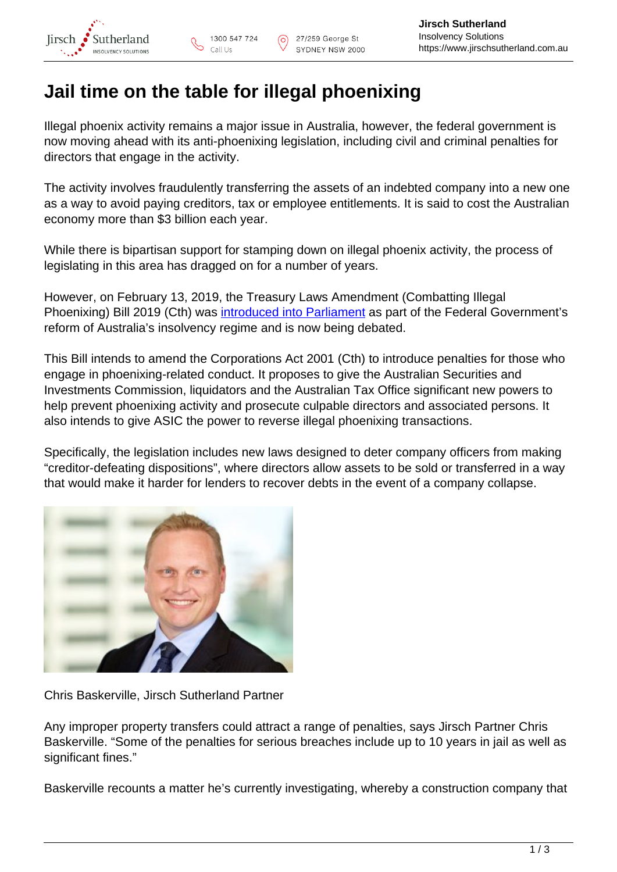## **Jail time on the table for illegal phoenixing**

Illegal phoenix activity remains a major issue in Australia, however, the federal government is now moving ahead with its anti-phoenixing legislation, including civil and criminal penalties for directors that engage in the activity.

The activity involves fraudulently transferring the assets of an indebted company into a new one as a way to avoid paying creditors, tax or employee entitlements. It is said to cost the Australian economy more than \$3 billion each year.

While there is bipartisan support for stamping down on illegal phoenix activity, the process of legislating in this area has dragged on for a number of years.

However, on February 13, 2019, the Treasury Laws Amendment (Combatting Illegal Phoenixing) Bill 2019 (Cth) was [introduced into Parliament](https://www.aph.gov.au/Parliamentary_Business/Bills_Legislation/Bills_Search_Results/Result?bId=r6325) as part of the Federal Government's reform of Australia's insolvency regime and is now being debated.

This Bill intends to amend the Corporations Act 2001 (Cth) to introduce penalties for those who engage in phoenixing-related conduct. It proposes to give the Australian Securities and Investments Commission, liquidators and the Australian Tax Office significant new powers to help prevent phoenixing activity and prosecute culpable directors and associated persons. It also intends to give ASIC the power to reverse illegal phoenixing transactions.

Specifically, the legislation includes new laws designed to deter company officers from making "creditor-defeating dispositions", where directors allow assets to be sold or transferred in a way that would make it harder for lenders to recover debts in the event of a company collapse.



Chris Baskerville, Jirsch Sutherland Partner

Any improper property transfers could attract a range of penalties, says Jirsch Partner Chris Baskerville. "Some of the penalties for serious breaches include up to 10 years in jail as well as significant fines."

Baskerville recounts a matter he's currently investigating, whereby a construction company that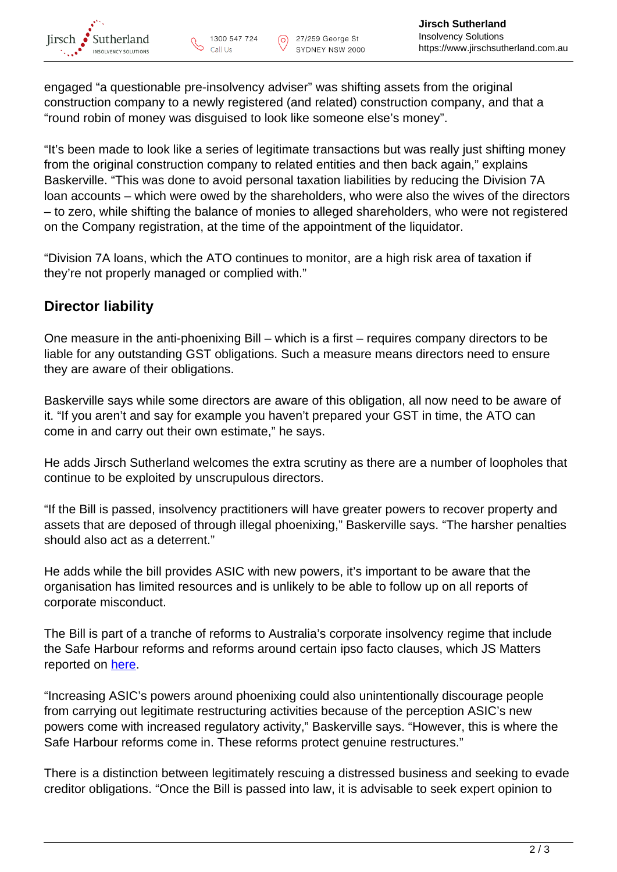engaged "a questionable pre-insolvency adviser" was shifting assets from the original construction company to a newly registered (and related) construction company, and that a "round robin of money was disguised to look like someone else's money".

"It's been made to look like a series of legitimate transactions but was really just shifting money from the original construction company to related entities and then back again," explains Baskerville. "This was done to avoid personal taxation liabilities by reducing the Division 7A loan accounts – which were owed by the shareholders, who were also the wives of the directors – to zero, while shifting the balance of monies to alleged shareholders, who were not registered on the Company registration, at the time of the appointment of the liquidator.

"Division 7A loans, which the ATO continues to monitor, are a high risk area of taxation if they're not properly managed or complied with."

## **Director liability**

One measure in the anti-phoenixing Bill – which is a first – requires company directors to be liable for any outstanding GST obligations. Such a measure means directors need to ensure they are aware of their obligations.

Baskerville says while some directors are aware of this obligation, all now need to be aware of it. "If you aren't and say for example you haven't prepared your GST in time, the ATO can come in and carry out their own estimate," he says.

He adds Jirsch Sutherland welcomes the extra scrutiny as there are a number of loopholes that continue to be exploited by unscrupulous directors.

"If the Bill is passed, insolvency practitioners will have greater powers to recover property and assets that are deposed of through illegal phoenixing," Baskerville says. "The harsher penalties should also act as a deterrent."

He adds while the bill provides ASIC with new powers, it's important to be aware that the organisation has limited resources and is unlikely to be able to follow up on all reports of corporate misconduct.

The Bill is part of a tranche of reforms to Australia's corporate insolvency regime that include the Safe Harbour reforms and reforms around certain ipso facto clauses, which JS Matters reported on [here](https://www.jirschsutherland.com.au/latest-news/safe-harbour-ipso-facto-reforms-passed-senate/).

"Increasing ASIC's powers around phoenixing could also unintentionally discourage people from carrying out legitimate restructuring activities because of the perception ASIC's new powers come with increased regulatory activity," Baskerville says. "However, this is where the Safe Harbour reforms come in. These reforms protect genuine restructures."

There is a distinction between legitimately rescuing a distressed business and seeking to evade creditor obligations. "Once the Bill is passed into law, it is advisable to seek expert opinion to